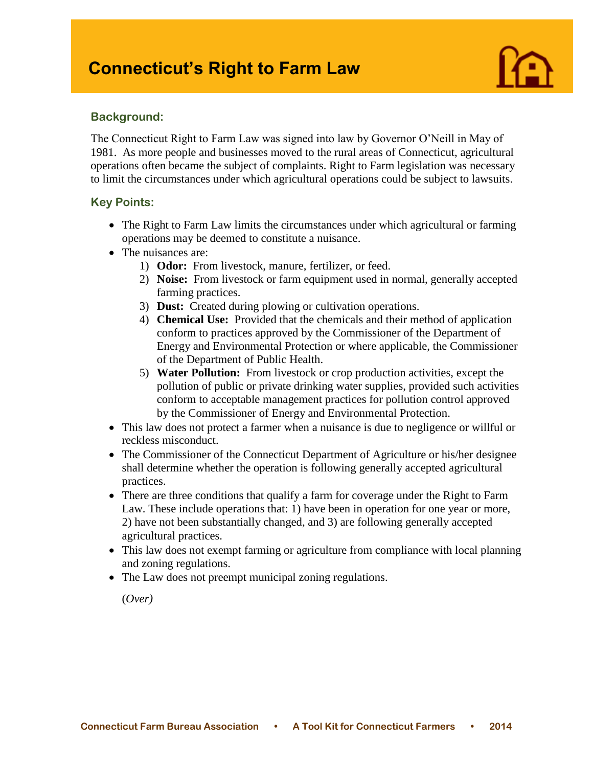# **Connecticut's Right to Farm Law**



### **Background:**

I

The Connecticut Right to Farm Law was signed into law by Governor O'Neill in May of 1981. As more people and businesses moved to the rural areas of Connecticut, agricultural operations often became the subject of complaints. Right to Farm legislation was necessary to limit the circumstances under which agricultural operations could be subject to lawsuits.

## **Key Points:**

- The Right to Farm Law limits the circumstances under which agricultural or farming operations may be deemed to constitute a nuisance.
- The nuisances are:
	- 1) **Odor:** From livestock, manure, fertilizer, or feed.
	- 2) **Noise:** From livestock or farm equipment used in normal, generally accepted farming practices.
	- 3) **Dust:** Created during plowing or cultivation operations.
	- 4) **Chemical Use:** Provided that the chemicals and their method of application conform to practices approved by the Commissioner of the Department of Energy and Environmental Protection or where applicable, the Commissioner of the Department of Public Health.
	- 5) **Water Pollution:** From livestock or crop production activities, except the pollution of public or private drinking water supplies, provided such activities conform to acceptable management practices for pollution control approved by the Commissioner of Energy and Environmental Protection.
- This law does not protect a farmer when a nuisance is due to negligence or willful or reckless misconduct.
- The Commissioner of the Connecticut Department of Agriculture or his/her designee shall determine whether the operation is following generally accepted agricultural practices.
- There are three conditions that qualify a farm for coverage under the Right to Farm Law. These include operations that: 1) have been in operation for one year or more, 2) have not been substantially changed, and 3) are following generally accepted agricultural practices.
- This law does not exempt farming or agriculture from compliance with local planning and zoning regulations.
- The Law does not preempt municipal zoning regulations.

(*Over)*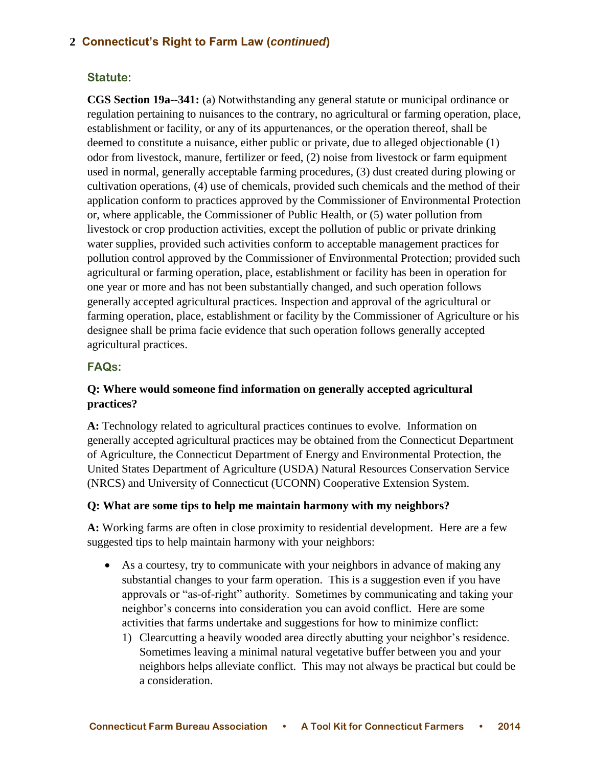# **2 Connecticut's Right to Farm Law (***continued***)**

## **Statute:**

**CGS Section 19a--341:** (a) Notwithstanding any general statute or municipal ordinance or regulation pertaining to nuisances to the contrary, no agricultural or farming operation, place, establishment or facility, or any of its appurtenances, or the operation thereof, shall be deemed to constitute a nuisance, either public or private, due to alleged objectionable (1) odor from livestock, manure, fertilizer or feed, (2) noise from livestock or farm equipment used in normal, generally acceptable farming procedures, (3) dust created during plowing or cultivation operations, (4) use of chemicals, provided such chemicals and the method of their application conform to practices approved by the Commissioner of Environmental Protection or, where applicable, the Commissioner of Public Health, or (5) water pollution from livestock or crop production activities, except the pollution of public or private drinking water supplies, provided such activities conform to acceptable management practices for pollution control approved by the Commissioner of Environmental Protection; provided such agricultural or farming operation, place, establishment or facility has been in operation for one year or more and has not been substantially changed, and such operation follows generally accepted agricultural practices. Inspection and approval of the agricultural or farming operation, place, establishment or facility by the Commissioner of Agriculture or his designee shall be prima facie evidence that such operation follows generally accepted agricultural practices.

# **FAQs:**

## **Q: Where would someone find information on generally accepted agricultural practices?**

**A:** Technology related to agricultural practices continues to evolve. Information on generally accepted agricultural practices may be obtained from the Connecticut Department of Agriculture, the Connecticut Department of Energy and Environmental Protection, the United States Department of Agriculture (USDA) Natural Resources Conservation Service (NRCS) and University of Connecticut (UCONN) Cooperative Extension System.

### **Q: What are some tips to help me maintain harmony with my neighbors?**

**A:** Working farms are often in close proximity to residential development. Here are a few suggested tips to help maintain harmony with your neighbors:

- As a courtesy, try to communicate with your neighbors in advance of making any substantial changes to your farm operation. This is a suggestion even if you have approvals or "as-of-right" authority. Sometimes by communicating and taking your neighbor's concerns into consideration you can avoid conflict. Here are some activities that farms undertake and suggestions for how to minimize conflict:
	- 1) Clearcutting a heavily wooded area directly abutting your neighbor's residence. Sometimes leaving a minimal natural vegetative buffer between you and your neighbors helps alleviate conflict. This may not always be practical but could be a consideration.